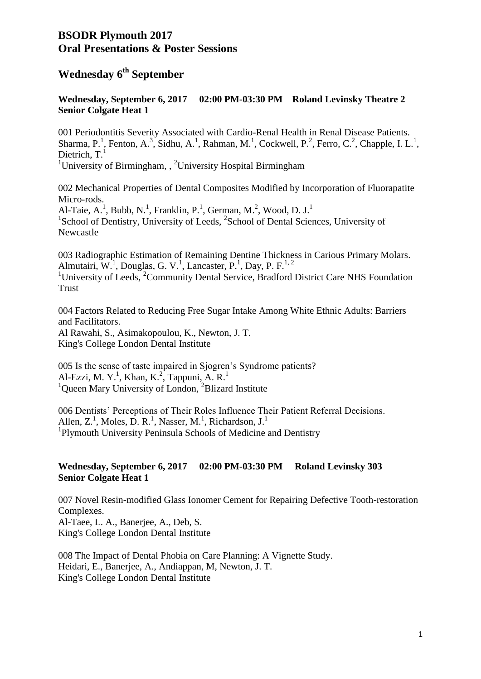## **BSODR Plymouth 2017 Oral Presentations & Poster Sessions**

## **Wednesday 6th September**

## **Wednesday, September 6, 2017 02:00 PM-03:30 PM Roland Levinsky Theatre 2 Senior Colgate Heat 1**

001 Periodontitis Severity Associated with Cardio-Renal Health in Renal Disease Patients. Sharma, P.<sup>1</sup>, Fenton, A.<sup>3</sup>, Sidhu, A.<sup>1</sup>, Rahman, M.<sup>1</sup>, Cockwell, P.<sup>2</sup>, Ferro, C.<sup>2</sup>, Chapple, I. L.<sup>1</sup>, Dietrich,  $T<sup>1</sup>$ 

<sup>1</sup>University of Birmingham,  $\frac{1}{2}$ University Hospital Birmingham

002 Mechanical Properties of Dental Composites Modified by Incorporation of Fluorapatite Micro-rods.

Al-Taie, A.<sup>1</sup>, Bubb, N.<sup>1</sup>, Franklin, P.<sup>1</sup>, German, M.<sup>2</sup>, Wood, D. J.<sup>1</sup> <sup>1</sup>School of Dentistry, University of Leeds, <sup>2</sup>School of Dental Sciences, University of Newcastle

003 Radiographic Estimation of Remaining Dentine Thickness in Carious Primary Molars. Almutairi, W.<sup>1</sup>, Douglas, G. V.<sup>1</sup>, Lancaster, P.<sup>1</sup>, Day, P. F.<sup>1, 2</sup>

<sup>1</sup>University of Leeds,  ${}^{2}$ Community Dental Service, Bradford District Care NHS Foundation Trust

004 Factors Related to Reducing Free Sugar Intake Among White Ethnic Adults: Barriers and Facilitators.

Al Rawahi, S., Asimakopoulou, K., Newton, J. T. King's College London Dental Institute

005 Is the sense of taste impaired in Sjogren's Syndrome patients? Al-Ezzi, M. Y.<sup>1</sup>, Khan, K.<sup>2</sup>, Tappuni, A. R.<sup>1</sup> <sup>1</sup>Queen Mary University of London, <sup>2</sup>Blizard Institute

006 Dentists' Perceptions of Their Roles Influence Their Patient Referral Decisions. Allen, Z.<sup>1</sup>, Moles, D. R.<sup>1</sup>, Nasser, M.<sup>1</sup>, Richardson, J.<sup>1</sup> <sup>1</sup>Plymouth University Peninsula Schools of Medicine and Dentistry

### **Wednesday, September 6, 2017 02:00 PM-03:30 PM Roland Levinsky 303 Senior Colgate Heat 1**

007 Novel Resin-modified Glass Ionomer Cement for Repairing Defective Tooth-restoration Complexes. Al-Taee, L. A., Banerjee, A., Deb, S. King's College London Dental Institute

008 The Impact of Dental Phobia on Care Planning: A Vignette Study. Heidari, E., Banerjee, A., Andiappan, M, Newton, J. T. King's College London Dental Institute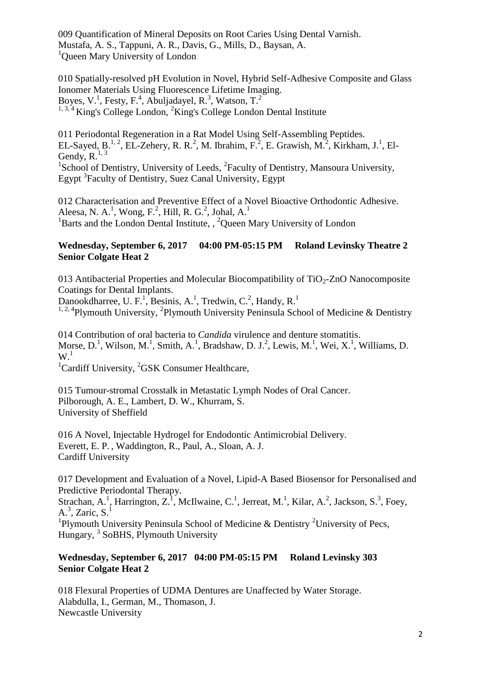009 Quantification of Mineral Deposits on Root Caries Using Dental Varnish. Mustafa, A. S., Tappuni, A. R., Davis, G., Mills, D., Baysan, A. <sup>1</sup>Queen Mary University of London

010 Spatially-resolved pH Evolution in Novel, Hybrid Self-Adhesive Composite and Glass Ionomer Materials Using Fluorescence Lifetime Imaging. Boyes, V.<sup>1</sup>, Festy, F.<sup>4</sup>, Abuljadayel, R.<sup>3</sup>, Watson, T.<sup>2</sup> <sup>1, 3, 4</sup> King's College London, <sup>2</sup> King's College London Dental Institute

011 Periodontal Regeneration in a Rat Model Using Self-Assembling Peptides. EL-Sayed, B.<sup>1, 2</sup>, EL-Zehery, R. R.<sup>2</sup>, M. Ibrahim, F.<sup>2</sup>, E. Grawish, M.<sup>2</sup>, Kirkham, J.<sup>1</sup>, El-Gendy,  $R^{1, 3}$ 

<sup>1</sup>School of Dentistry, University of Leeds, <sup>2</sup>Faculty of Dentistry, Mansoura University, Egypt<sup>3</sup> Faculty of Dentistry, Suez Canal University, Egypt

012 Characterisation and Preventive Effect of a Novel Bioactive Orthodontic Adhesive. Aleesa, N. A.<sup>1</sup>, Wong, F.<sup>2</sup>, Hill, R. G.<sup>2</sup>, Johal, A.<sup>1</sup> <sup>1</sup>Barts and the London Dental Institute,  $\frac{1}{2}$ Queen Mary University of London

## **Wednesday, September 6, 2017 04:00 PM-05:15 PM Roland Levinsky Theatre 2 Senior Colgate Heat 2**

013 Antibacterial Properties and Molecular Biocompatibility of  $TiO<sub>2</sub>$ -ZnO Nanocomposite Coatings for Dental Implants.

Danookdharree, U. F.<sup>1</sup>, Besinis, A.<sup>1</sup>, Tredwin, C.<sup>2</sup>, Handy, R.<sup>1</sup>

<sup>1, 2, 4</sup>Plymouth University, <sup>2</sup>Plymouth University Peninsula School of Medicine & Dentistry

014 Contribution of oral bacteria to *Candida* virulence and denture stomatitis. Morse,  $D<sup>1</sup>$ , Wilson, M.<sup>1</sup>, Smith, A.<sup>1</sup>, Bradshaw, D. J.<sup>2</sup>, Lewis, M.<sup>1</sup>, Wei, X.<sup>1</sup>, Williams, D.  $W<sup>1</sup>$ 

 ${}^{1}$ Cardiff University,  ${}^{2}$ GSK Consumer Healthcare,

015 Tumour-stromal Crosstalk in Metastatic Lymph Nodes of Oral Cancer. Pilborough, A. E., Lambert, D. W., Khurram, S. University of Sheffield

016 A Novel, Injectable Hydrogel for Endodontic Antimicrobial Delivery. Everett, E. P. , Waddington, R., Paul, A., Sloan, A. J. Cardiff University

017 Development and Evaluation of a Novel, Lipid-A Based Biosensor for Personalised and Predictive Periodontal Therapy.

Strachan, A.<sup>1</sup>, Harrington, Z.<sup>1</sup>, McIlwaine, C.<sup>1</sup>, Jerreat, M.<sup>1</sup>, Kilar, A.<sup>2</sup>, Jackson, S.<sup>3</sup>, Foey, A.<sup>3</sup>, Zaric, S.<sup>1</sup>

<sup>1</sup>Plymouth University Peninsula School of Medicine & Dentistry <sup>2</sup>University of Pecs, Hungary, <sup>3</sup> SoBHS, Plymouth University

## **Wednesday, September 6, 2017 04:00 PM-05:15 PM Roland Levinsky 303 Senior Colgate Heat 2**

018 Flexural Properties of UDMA Dentures are Unaffected by Water Storage. Alabdulla, I., German, M., Thomason, J. Newcastle University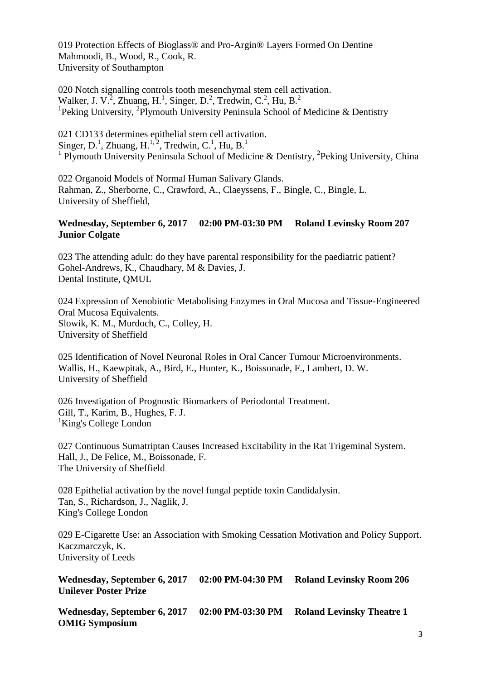019 Protection Effects of Bioglass® and Pro-Argin® Layers Formed On Dentine Mahmoodi, B., Wood, R., Cook, R. University of Southampton

020 Notch signalling controls tooth mesenchymal stem cell activation. Walker, J. V.<sup>2</sup>, Zhuang, H.<sup>1</sup>, Singer, D.<sup>2</sup>, Tredwin, C.<sup>2</sup>, Hu, B.<sup>2</sup> <sup>1</sup>Peking University, <sup>2</sup>Plymouth University Peninsula School of Medicine & Dentistry

021 CD133 determines epithelial stem cell activation. Singer, D.<sup>1</sup>, Zhuang, H.<sup>1,2</sup>, Tredwin, C.<sup>1</sup>, Hu, B.<sup>1</sup> <sup>1</sup> Plymouth University Peninsula School of Medicine & Dentistry, <sup>2</sup>Peking University, China

022 Organoid Models of Normal Human Salivary Glands. Rahman, Z., Sherborne, C., Crawford, A., Claeyssens, F., Bingle, C., Bingle, L. University of Sheffield,

#### **Wednesday, September 6, 2017 02:00 PM-03:30 PM Roland Levinsky Room 207 Junior Colgate**

023 The attending adult: do they have parental responsibility for the paediatric patient? Gohel-Andrews, K., Chaudhary, M & Davies, J. Dental Institute, QMUL

024 Expression of Xenobiotic Metabolising Enzymes in Oral Mucosa and Tissue-Engineered Oral Mucosa Equivalents. Slowik, K. M., Murdoch, C., Colley, H. University of Sheffield

025 Identification of Novel Neuronal Roles in Oral Cancer Tumour Microenvironments. Wallis, H., Kaewpitak, A., Bird, E., Hunter, K., Boissonade, F., Lambert, D. W. University of Sheffield

026 Investigation of Prognostic Biomarkers of Periodontal Treatment. Gill, T., Karim, B., Hughes, F. J. <sup>1</sup>King's College London

027 Continuous Sumatriptan Causes Increased Excitability in the Rat Trigeminal System. Hall, J., De Felice, M., Boissonade, F. The University of Sheffield

028 Epithelial activation by the novel fungal peptide toxin Candidalysin. Tan, S., Richardson, J., Naglik, J. King's College London

029 E-Cigarette Use: an Association with Smoking Cessation Motivation and Policy Support. Kaczmarczyk, K. University of Leeds

**Wednesday, September 6, 2017 02:00 PM-04:30 PM Roland Levinsky Room 206 Unilever Poster Prize**

**Wednesday, September 6, 2017 02:00 PM-03:30 PM Roland Levinsky Theatre 1 OMIG Symposium**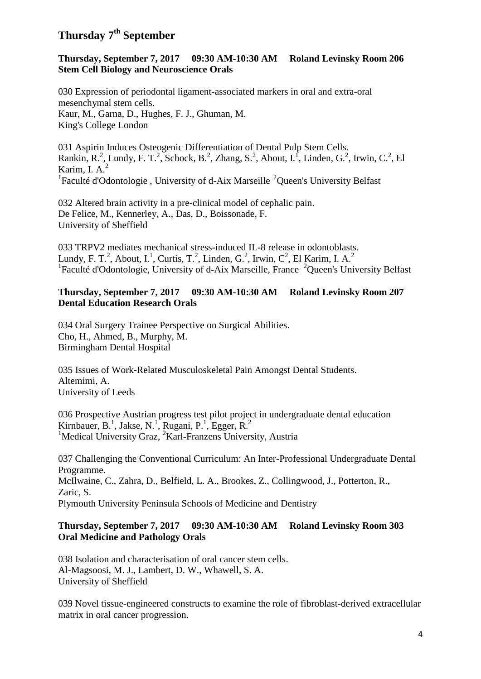## **Thursday 7th September**

### **Thursday, September 7, 2017 09:30 AM-10:30 AM Roland Levinsky Room 206 Stem Cell Biology and Neuroscience Orals**

030 Expression of periodontal ligament-associated markers in oral and extra-oral mesenchymal stem cells. Kaur, M., Garna, D., Hughes, F. J., Ghuman, M. King's College London

031 Aspirin Induces Osteogenic Differentiation of Dental Pulp Stem Cells. Rankin, R.<sup>2</sup>, Lundy, F. T.<sup>2</sup>, Schock, B.<sup>2</sup>, Zhang, S.<sup>2</sup>, About, I.<sup>1</sup>, Linden, G.<sup>2</sup>, Irwin, C.<sup>2</sup>, El Karim, I.  $A<sup>2</sup>$ <sup>1</sup>Faculté d'Odontologie, University of d-Aix Marseille <sup>2</sup>Queen's University Belfast

032 Altered brain activity in a pre-clinical model of cephalic pain. De Felice, M., Kennerley, A., Das, D., Boissonade, F. University of Sheffield

033 TRPV2 mediates mechanical stress-induced IL-8 release in odontoblasts. Lundy, F. T.<sup>2</sup>, About, I.<sup>1</sup>, Curtis, T.<sup>2</sup>, Linden, G.<sup>2</sup>, Irwin, C<sup>2</sup>, El Karim, I. A.<sup>2</sup> <sup>1</sup> Faculté d'Odontologie, University of d-Aix Marseille, France <sup>2</sup>Queen's University Belfast

## **Thursday, September 7, 2017 09:30 AM-10:30 AM Roland Levinsky Room 207 Dental Education Research Orals**

034 Oral Surgery Trainee Perspective on Surgical Abilities. Cho, H., Ahmed, B., Murphy, M. Birmingham Dental Hospital

035 Issues of Work-Related Musculoskeletal Pain Amongst Dental Students. Altemimi, A. University of Leeds

036 Prospective Austrian progress test pilot project in undergraduate dental education Kirnbauer, B.<sup>1</sup>, Jakse, N.<sup>1</sup>, Rugani, P.<sup>1</sup>, Egger, R.<sup>2</sup> <sup>1</sup>Medical University Graz,  ${}^{2}$ Karl-Franzens University, Austria

037 Challenging the Conventional Curriculum: An Inter-Professional Undergraduate Dental Programme. McIlwaine, C., Zahra, D., Belfield, L. A., Brookes, Z., Collingwood, J., Potterton, R., Zaric, S. Plymouth University Peninsula Schools of Medicine and Dentistry

### **Thursday, September 7, 2017 09:30 AM-10:30 AM Roland Levinsky Room 303 Oral Medicine and Pathology Orals**

038 Isolation and characterisation of oral cancer stem cells. Al-Magsoosi, M. J., Lambert, D. W., Whawell, S. A. University of Sheffield

039 Novel tissue-engineered constructs to examine the role of fibroblast-derived extracellular matrix in oral cancer progression.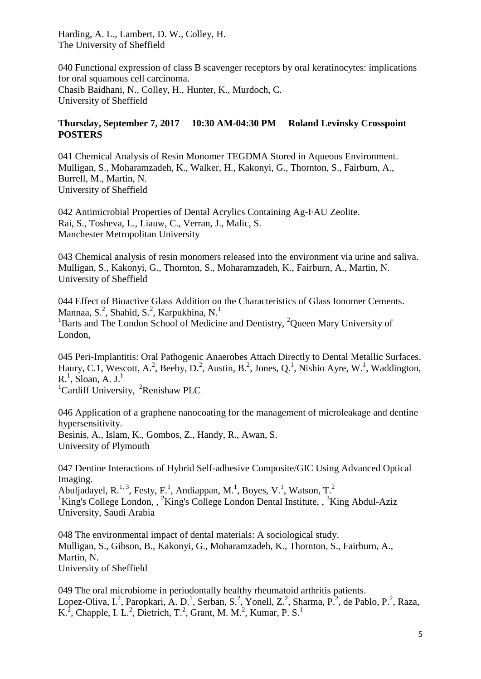Harding, A. L., Lambert, D. W., Colley, H. The University of Sheffield

040 Functional expression of class B scavenger receptors by oral keratinocytes: implications for oral squamous cell carcinoma. Chasib Baidhani, N., Colley, H., Hunter, K., Murdoch, C. University of Sheffield

## **Thursday, September 7, 2017 10:30 AM-04:30 PM Roland Levinsky Crosspoint POSTERS**

041 Chemical Analysis of Resin Monomer TEGDMA Stored in Aqueous Environment. Mulligan, S., Moharamzadeh, K., Walker, H., Kakonyi, G., Thornton, S., Fairburn, A., Burrell, M., Martin, N. University of Sheffield

042 Antimicrobial Properties of Dental Acrylics Containing Ag-FAU Zeolite. Rai, S., Tosheva, L., Liauw, C., Verran, J., Malic, S. Manchester Metropolitan University

043 Chemical analysis of resin monomers released into the environment via urine and saliva. Mulligan, S., Kakonyi, G., Thornton, S., Moharamzadeh, K., Fairburn, A., Martin, N. University of Sheffield

044 Effect of Bioactive Glass Addition on the Characteristics of Glass Ionomer Cements. Mannaa, S.<sup>2</sup>, Shahid, S.<sup>2</sup>, Karpukhina, N.<sup>1</sup>  $1B$ arts and The London School of Medicine and Dentistry,  $2O$ ueen Mary University of London,

045 Peri-Implantitis: Oral Pathogenic Anaerobes Attach Directly to Dental Metallic Surfaces. Haury, C.1, Wescott, A.<sup>2</sup>, Beeby, D.<sup>2</sup>, Austin, B.<sup>2</sup>, Jones, Q.<sup>1</sup>, Nishio Ayre, W.<sup>1</sup>, Waddington,  $R<sup>1</sup>$ , Sloan, A. J.<sup>1</sup>

<sup>1</sup>Cardiff University, <sup>2</sup>Renishaw PLC

046 Application of a graphene nanocoating for the management of microleakage and dentine hypersensitivity. Besinis, A., Islam, K., Gombos, Z., Handy, R., Awan, S. University of Plymouth

047 Dentine Interactions of Hybrid Self-adhesive Composite/GIC Using Advanced Optical Imaging.

Abuljadayel, R.<sup>1, 3</sup>, Festy, F.<sup>1</sup>, Andiappan, M.<sup>1</sup>, Boyes, V.<sup>1</sup>, Watson, T.<sup>2</sup> <sup>1</sup>King's College London, , <sup>2</sup>King's College London Dental Institute, , <sup>3</sup>King Abdul-Aziz University, Saudi Arabia

048 The environmental impact of dental materials: A sociological study. Mulligan, S., Gibson, B., Kakonyi, G., Moharamzadeh, K., Thornton, S., Fairburn, A., Martin, N. University of Sheffield

049 The oral microbiome in periodontally healthy rheumatoid arthritis patients. Lopez-Oliva, I.<sup>2</sup>, Paropkari, A. D.<sup>1</sup>, Serban, S.<sup>2</sup>, Yonell, Z.<sup>2</sup>, Sharma, P.<sup>2</sup>, de Pablo, P.<sup>2</sup>, Raza, K.<sup>2</sup>, Chapple, I. L.<sup>2</sup>, Dietrich, T.<sup>2</sup>, Grant, M. M.<sup>2</sup>, Kumar, P. S.<sup>1</sup>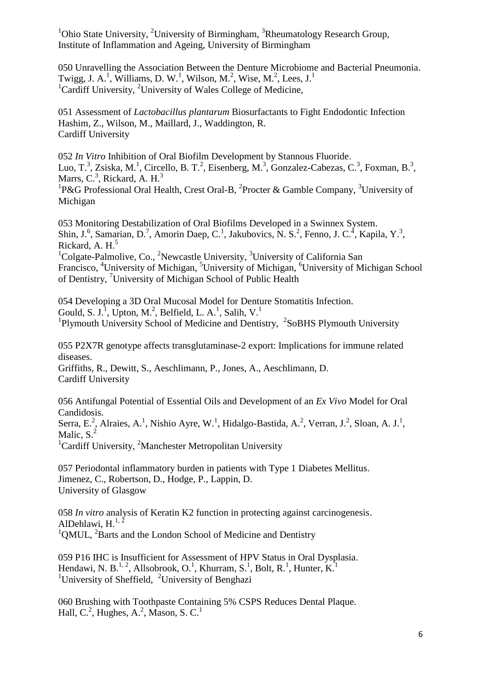<sup>1</sup>Ohio State University, <sup>2</sup>University of Birmingham, <sup>3</sup>Rheumatology Research Group, Institute of Inflammation and Ageing, University of Birmingham

050 Unravelling the Association Between the Denture Microbiome and Bacterial Pneumonia. Twigg, J. A.<sup>1</sup>, Williams, D. W.<sup>1</sup>, Wilson, M.<sup>2</sup>, Wise, M.<sup>2</sup>, Lees, J.<sup>1</sup> <sup>1</sup>Cardiff University, <sup>2</sup>University of Wales College of Medicine,

051 Assessment of *Lactobacillus plantarum* Biosurfactants to Fight Endodontic Infection Hashim, Z., Wilson, M., Maillard, J., Waddington, R. Cardiff University

052 *In Vitro* Inhibition of Oral Biofilm Development by Stannous Fluoride. Luo, T.<sup>3</sup>, Zsiska, M.<sup>1</sup>, Circello, B. T.<sup>2</sup>, Eisenberg, M.<sup>3</sup>, Gonzalez-Cabezas, C.<sup>3</sup>, Foxman, B.<sup>3</sup>, Marrs,  $C^3$ , Rickard, A. H. $^3$ 

<sup>1</sup>P&G Professional Oral Health, Crest Oral-B, <sup>2</sup>Procter & Gamble Company, <sup>3</sup>University of Michigan

053 Monitoring Destabilization of Oral Biofilms Developed in a Swinnex System. Shin, J.<sup>6</sup>, Samarian, D.<sup>7</sup>, Amorin Daep, C.<sup>1</sup>, Jakubovics, N. S.<sup>2</sup>, Fenno, J. C.<sup>4</sup>, Kapila, Y.<sup>3</sup>, Rickard, A.  $H<sup>5</sup>$  $1$ Colgate-Palmolive, Co., <sup>2</sup>Newcastle University,  $3$ University of California San Francisco, <sup>4</sup>University of Michigan, <sup>5</sup>University of Michigan, <sup>6</sup>University of Michigan School of Dentistry, <sup>7</sup>University of Michigan School of Public Health

054 Developing a 3D Oral Mucosal Model for Denture Stomatitis Infection. Gould, S. J.<sup>1</sup>, Upton, M.<sup>2</sup>, Belfield, L. A.<sup>1</sup>, Salih, V.<sup>1</sup> <sup>1</sup>Plymouth University School of Medicine and Dentistry, <sup>2</sup>SoBHS Plymouth University

055 P2X7R genotype affects transglutaminase-2 export: Implications for immune related diseases.

Griffiths, R., Dewitt, S., Aeschlimann, P., Jones, A., Aeschlimann, D. Cardiff University

056 Antifungal Potential of Essential Oils and Development of an *Ex Vivo* Model for Oral Candidosis.

Serra, E.<sup>2</sup>, Alraies, A.<sup>1</sup>, Nishio Ayre, W.<sup>1</sup>, Hidalgo-Bastida, A.<sup>2</sup>, Verran, J.<sup>2</sup>, Sloan, A. J.<sup>1</sup>, Malic,  $S<sup>2</sup>$ 

<sup>1</sup>Cardiff University, <sup>2</sup>Manchester Metropolitan University

057 Periodontal inflammatory burden in patients with Type 1 Diabetes Mellitus. Jimenez, C., Robertson, D., Hodge, P., Lappin, D. University of Glasgow

058 *In vitro* analysis of Keratin K2 function in protecting against carcinogenesis. AlDehlawi,  $H^{1, 2}$  $1$ QMUL,  $2$ Barts and the London School of Medicine and Dentistry

059 P16 IHC is Insufficient for Assessment of HPV Status in Oral Dysplasia. Hendawi, N. B.<sup>1, 2</sup>, Allsobrook, O.<sup>1</sup>, Khurram, S.<sup>1</sup>, Bolt, R.<sup>1</sup>, Hunter, K.<sup>1</sup> <sup>1</sup>University of Sheffield, <sup>2</sup>University of Benghazi

060 Brushing with Toothpaste Containing 5% CSPS Reduces Dental Plaque. Hall, C.<sup>2</sup>, Hughes, A.<sup>2</sup>, Mason, S. C.<sup>1</sup>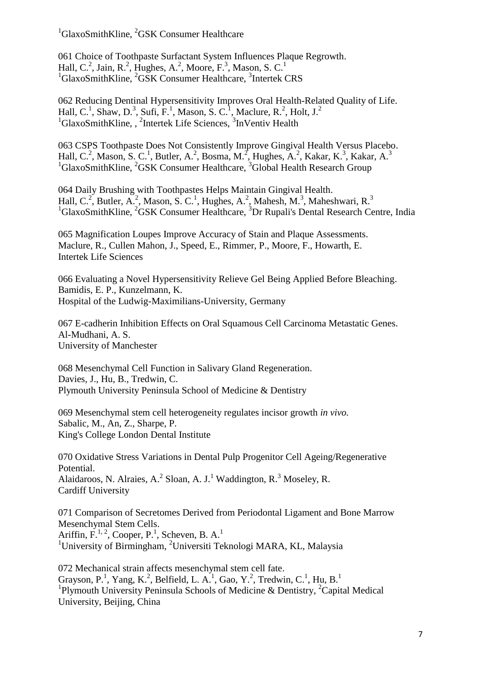${}^{1}$ GlaxoSmithKline,  ${}^{2}$ GSK Consumer Healthcare

061 Choice of Toothpaste Surfactant System Influences Plaque Regrowth. Hall, C.<sup>2</sup>, Jain, R.<sup>2</sup>, Hughes, A.<sup>2</sup>, Moore, F.<sup>3</sup>, Mason, S. C.<sup>1</sup> <sup>1</sup>GlaxoSmithKline, <sup>2</sup>GSK Consumer Healthcare, <sup>3</sup>Intertek CRS

062 Reducing Dentinal Hypersensitivity Improves Oral Health-Related Quality of Life. Hall, C.<sup>1</sup>, Shaw, D.<sup>3</sup>, Sufi, F.<sup>1</sup>, Mason, S. C.<sup>1</sup>, Maclure, R.<sup>2</sup>, Holt, J.<sup>2</sup> <sup>1</sup>GlaxoSmithKline,, <sup>2</sup>Intertek Life Sciences, <sup>3</sup>InVentiv Health

063 CSPS Toothpaste Does Not Consistently Improve Gingival Health Versus Placebo. Hall, C.<sup>2</sup>, Mason, S. C.<sup>1</sup>, Butler, A.<sup>2</sup>, Bosma, M.<sup>2</sup>, Hughes, A.<sup>2</sup>, Kakar, K.<sup>3</sup>, Kakar, A.<sup>3</sup> <sup>1</sup>GlaxoSmithKline, <sup>2</sup>GSK Consumer Healthcare, <sup>3</sup>Global Health Research Group

064 Daily Brushing with Toothpastes Helps Maintain Gingival Health. Hall, C.<sup>2</sup>, Butler, A.<sup>2</sup>, Mason, S. C.<sup>1</sup>, Hughes, A.<sup>2</sup>, Mahesh, M.<sup>3</sup>, Maheshwari, R.<sup>3</sup>  $1$ GlaxoSmithKline,  $2$ GSK Consumer Healthcare,  $3$ Dr Rupali's Dental Research Centre, India

065 Magnification Loupes Improve Accuracy of Stain and Plaque Assessments. Maclure, R., Cullen Mahon, J., Speed, E., Rimmer, P., Moore, F., Howarth, E. Intertek Life Sciences

066 Evaluating a Novel Hypersensitivity Relieve Gel Being Applied Before Bleaching. Bamidis, E. P., Kunzelmann, K. Hospital of the Ludwig-Maximilians-University, Germany

067 E-cadherin Inhibition Effects on Oral Squamous Cell Carcinoma Metastatic Genes. Al-Mudhani, A. S. University of Manchester

068 Mesenchymal Cell Function in Salivary Gland Regeneration. Davies, J., Hu, B., Tredwin, C. Plymouth University Peninsula School of Medicine & Dentistry

069 Mesenchymal stem cell heterogeneity regulates incisor growth *in vivo.* Sabalic, M., An, Z., Sharpe, P. King's College London Dental Institute

070 Oxidative Stress Variations in Dental Pulp Progenitor Cell Ageing/Regenerative Potential. Alaidaroos, N. Alraies, A.<sup>2</sup> Sloan, A. J.<sup>1</sup> Waddington, R.<sup>3</sup> Moseley, R. Cardiff University

071 Comparison of Secretomes Derived from Periodontal Ligament and Bone Marrow Mesenchymal Stem Cells. Ariffin,  $F^{1, 2}$ , Cooper, P.<sup>1</sup>, Scheven, B. A.<sup>1</sup> <sup>1</sup>University of Birmingham, <sup>2</sup>Universiti Teknologi MARA, KL, Malaysia

072 Mechanical strain affects mesenchymal stem cell fate. Grayson, P.<sup>1</sup>, Yang, K.<sup>2</sup>, Belfield, L. A.<sup>1</sup>, Gao, Y.<sup>2</sup>, Tredwin, C.<sup>1</sup>, Hu, B.<sup>1</sup> <sup>1</sup>Plymouth University Peninsula Schools of Medicine & Dentistry, <sup>2</sup>Capital Medical University, Beijing, China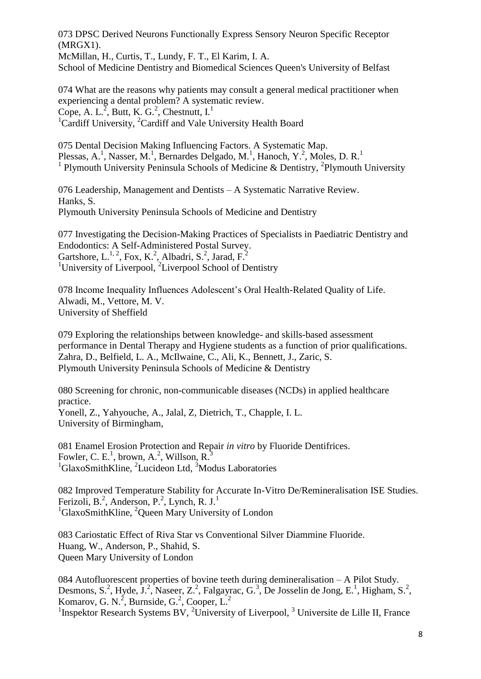073 DPSC Derived Neurons Functionally Express Sensory Neuron Specific Receptor (MRGX1).

McMillan, H., Curtis, T., Lundy, F. T., El Karim, I. A.

School of Medicine Dentistry and Biomedical Sciences Queen's University of Belfast

074 What are the reasons why patients may consult a general medical practitioner when experiencing a dental problem? A systematic review. Cope, A. L.<sup>2</sup>, Butt, K. G.<sup>2</sup>, Chestnutt, I.<sup>1</sup> <sup>1</sup>Cardiff University, <sup>2</sup>Cardiff and Vale University Health Board

075 Dental Decision Making Influencing Factors. A Systematic Map. Plessas, A.<sup>1</sup>, Nasser, M.<sup>1</sup>, Bernardes Delgado, M.<sup>1</sup>, Hanoch, Y.<sup>2</sup>, Moles, D. R.<sup>1</sup> <sup>1</sup> Plymouth University Peninsula Schools of Medicine & Dentistry, <sup>2</sup>Plymouth University

076 Leadership, Management and Dentists – A Systematic Narrative Review. Hanks, S. Plymouth University Peninsula Schools of Medicine and Dentistry

077 Investigating the Decision-Making Practices of Specialists in Paediatric Dentistry and Endodontics: A Self-Administered Postal Survey. Gartshore, L.<sup>1, 2</sup>, Fox, K.<sup>2</sup>, Albadri, S.<sup>2</sup>, Jarad, F.<sup>2</sup> <sup>1</sup>University of Liverpool, <sup>2</sup>Liverpool School of Dentistry

078 Income Inequality Influences Adolescent's Oral Health-Related Quality of Life. Alwadi, M., Vettore, M. V. University of Sheffield

079 Exploring the relationships between knowledge- and skills-based assessment performance in Dental Therapy and Hygiene students as a function of prior qualifications. Zahra, D., Belfield, L. A., McIlwaine, C., Ali, K., Bennett, J., Zaric, S. Plymouth University Peninsula Schools of Medicine & Dentistry

080 Screening for chronic, non-communicable diseases (NCDs) in applied healthcare practice. Yonell, Z., Yahyouche, A., Jalal, Z, Dietrich, T., Chapple, I. L. University of Birmingham,

081 Enamel Erosion Protection and Repair *in vitro* by Fluoride Dentifrices. Fowler, C. E.<sup>1</sup>, brown, A.<sup>2</sup>, Willson, R.<sup>3</sup>  ${}^{1}$ GlaxoSmithKline, <sup>2</sup>Lucideon Ltd, <sup>3</sup>Modus Laboratories

082 Improved Temperature Stability for Accurate In-Vitro De/Remineralisation ISE Studies. Ferizoli, B.<sup>2</sup>, Anderson, P.<sup>2</sup>, Lynch, R. J.<sup>1</sup> <sup>1</sup>GlaxoSmithKline, <sup>2</sup>Queen Mary University of London

083 Cariostatic Effect of Riva Star vs Conventional Silver Diammine Fluoride. Huang, W., Anderson, P., Shahid, S. Queen Mary University of London

084 Autofluorescent properties of bovine teeth during demineralisation – A Pilot Study. Desmons, S.<sup>2</sup>, Hyde, J.<sup>2</sup>, Naseer, Z.<sup>2</sup>, Falgayrac, G.<sup>3</sup>, De Josselin de Jong, E.<sup>1</sup>, Higham, S.<sup>2</sup>, Komarov, G. N.<sup>2</sup>, Burnside, G.<sup>2</sup>, Cooper, L.<sup>2</sup>

<sup>1</sup> Inspektor Research Systems BV, <sup>2</sup> University of Liverpool, <sup>3</sup> Universite de Lille II, France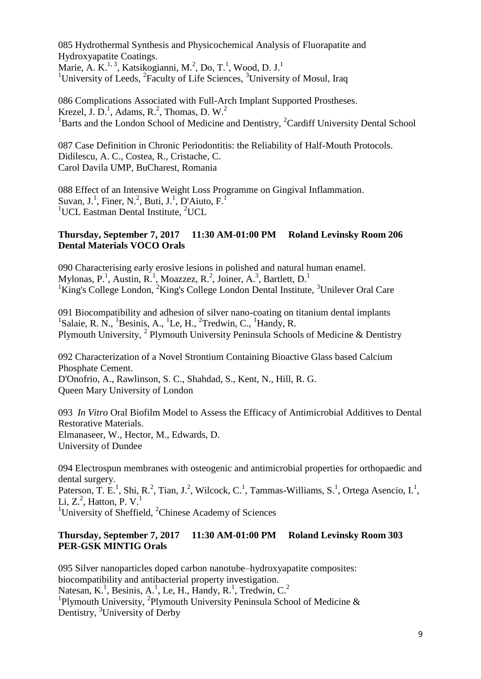085 Hydrothermal Synthesis and Physicochemical Analysis of Fluorapatite and Hydroxyapatite Coatings. Marie, A. K.<sup>1, 3</sup>, Katsikogianni, M.<sup>2</sup>, Do, T.<sup>1</sup>, Wood, D. J.<sup>1</sup>

<sup>1</sup>University of Leeds, <sup>2</sup>Faculty of Life Sciences, <sup>3</sup>University of Mosul, Iraq

086 Complications Associated with Full-Arch Implant Supported Prostheses. Krezel, J. D.<sup>1</sup>, Adams, R.<sup>2</sup>, Thomas, D. W.<sup>2</sup> <sup>1</sup>Barts and the London School of Medicine and Dentistry, <sup>2</sup>Cardiff University Dental School

087 Case Definition in Chronic Periodontitis: the Reliability of Half-Mouth Protocols. Didilescu, A. C., Costea, R., Cristache, C. Carol Davila UMP, BuCharest, Romania

088 Effect of an Intensive Weight Loss Programme on Gingival Inflammation. Suvan, J.<sup>1</sup>, Finer, N.<sup>2</sup>, Buti, J.<sup>1</sup>, D'Aiuto, F.<sup>1</sup> <sup>1</sup>UCL Eastman Dental Institute,  ${}^{2}$ UCL

## **Thursday, September 7, 2017 11:30 AM-01:00 PM Roland Levinsky Room 206 Dental Materials VOCO Orals**

090 Characterising early erosive lesions in polished and natural human enamel. Mylonas, P.<sup>1</sup>, Austin, R.<sup>1</sup>, Moazzez, R.<sup>2</sup>, Joiner, A.<sup>3</sup>, Bartlett, D.<sup>1</sup>  $1$ King's College London,  $2$ King's College London Dental Institute,  $3$ Unilever Oral Care

091 Biocompatibility and adhesion of silver nano-coating on titanium dental implants  $1$ Salaie, R. N.,  $1$ Besinis, A.,  $1$ Le, H.,  $2$ Tredwin, C.,  $1$ Handy, R. Plymouth University, <sup>2</sup> Plymouth University Peninsula Schools of Medicine & Dentistry

092 Characterization of a Novel Strontium Containing Bioactive Glass based Calcium Phosphate Cement. D'Onofrio, A., Rawlinson, S. C., Shahdad, S., Kent, N., Hill, R. G.

Queen Mary University of London

093 *In Vitro* Oral Biofilm Model to Assess the Efficacy of Antimicrobial Additives to Dental Restorative Materials. Elmanaseer, W., Hector, M., Edwards, D. University of Dundee

094 Electrospun membranes with osteogenic and antimicrobial properties for orthopaedic and dental surgery.

Paterson, T. E.<sup>1</sup>, Shi, R.<sup>2</sup>, Tian, J.<sup>2</sup>, Wilcock, C.<sup>1</sup>, Tammas-Williams, S.<sup>1</sup>, Ortega Asencio, I.<sup>1</sup>, Li,  $Z<sup>2</sup>$ , Hatton, P. V.<sup>1</sup>

<sup>1</sup>University of Sheffield,  ${}^{2}$ Chinese Academy of Sciences

## **Thursday, September 7, 2017 11:30 AM-01:00 PM Roland Levinsky Room 303 PER-GSK MINTIG Orals**

095 Silver nanoparticles doped carbon nanotube–hydroxyapatite composites: biocompatibility and antibacterial property investigation. Natesan, K.<sup>1</sup>, Besinis, A.<sup>1</sup>, Le, H., Handy, R.<sup>1</sup>, Tredwin, C.<sup>2</sup> <sup>1</sup>Plymouth University, <sup>2</sup>Plymouth University Peninsula School of Medicine & Dentistry, <sup>3</sup>University of Derby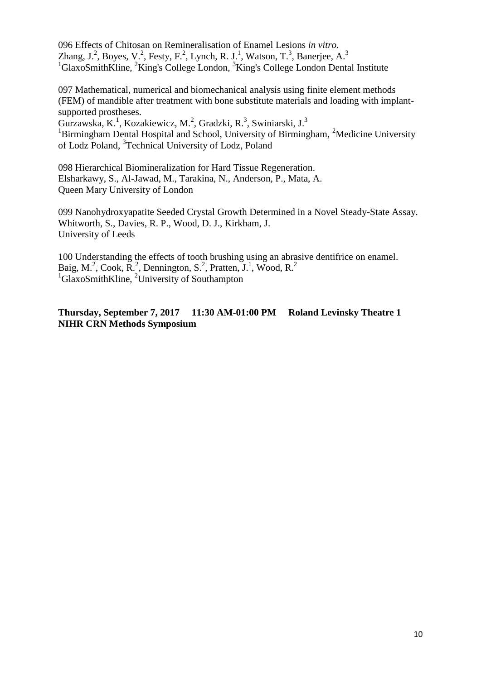096 Effects of Chitosan on Remineralisation of Enamel Lesions *in vitro.* Zhang, J.<sup>2</sup>, Boyes, V.<sup>2</sup>, Festy, F.<sup>2</sup>, Lynch, R. J.<sup>1</sup>, Watson, T.<sup>3</sup>, Banerjee, A.<sup>3</sup>  $1_G$ laxoSmithKline,  $2_K$ King's College London,  $3_K$ King's College London Dental Institute

097 Mathematical, numerical and biomechanical analysis using finite element methods (FEM) of mandible after treatment with bone substitute materials and loading with implantsupported prostheses.

Gurzawska, K.<sup>1</sup>, Kozakiewicz, M.<sup>2</sup>, Gradzki, R.<sup>3</sup>, Swiniarski, J.<sup>3</sup> <sup>1</sup>Birmingham Dental Hospital and School, University of Birmingham, <sup>2</sup>Medicine University of Lodz Poland, 3 Technical University of Lodz, Poland

098 Hierarchical Biomineralization for Hard Tissue Regeneration. Elsharkawy, S., Al-Jawad, M., Tarakina, N., Anderson, P., Mata, A. Queen Mary University of London

099 Nanohydroxyapatite Seeded Crystal Growth Determined in a Novel Steady-State Assay. Whitworth, S., Davies, R. P., Wood, D. J., Kirkham, J. University of Leeds

100 Understanding the effects of tooth brushing using an abrasive dentifrice on enamel. Baig, M.<sup>2</sup>, Cook, R.<sup>2</sup>, Dennington, S.<sup>2</sup>, Pratten, J.<sup>1</sup>, Wood, R.<sup>2</sup> <sup>1</sup>GlaxoSmithKline, <sup>2</sup>University of Southampton

### **Thursday, September 7, 2017 11:30 AM-01:00 PM Roland Levinsky Theatre 1 NIHR CRN Methods Symposium**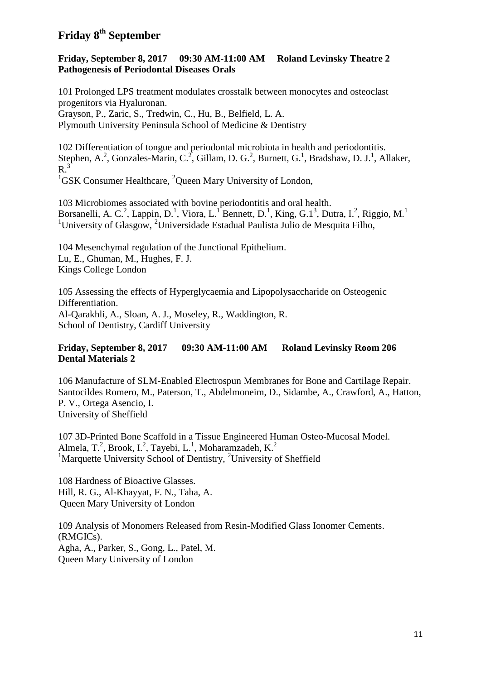# **Friday 8th September**

### **Friday, September 8, 2017 09:30 AM-11:00 AM Roland Levinsky Theatre 2 Pathogenesis of Periodontal Diseases Orals**

101 Prolonged LPS treatment modulates crosstalk between monocytes and osteoclast progenitors via Hyaluronan. Grayson, P., Zaric, S., Tredwin, C., Hu, B., Belfield, L. A. Plymouth University Peninsula School of Medicine & Dentistry

102 Differentiation of tongue and periodontal microbiota in health and periodontitis. Stephen, A.<sup>2</sup>, Gonzales-Marin, C.<sup>2</sup>, Gillam, D. G.<sup>2</sup>, Burnett, G.<sup>1</sup>, Bradshaw, D. J.<sup>1</sup>, Allaker,  $R<sup>3</sup>$ <sup>1</sup>GSK Consumer Healthcare, <sup>2</sup>Queen Mary University of London,

103 Microbiomes associated with bovine periodontitis and oral health. Borsanelli, A. C.<sup>2</sup>, Lappin, D.<sup>1</sup>, Viora, L.<sup>1</sup> Bennett, D.<sup>1</sup>, King, G.1<sup>3</sup>, Dutra, I.<sup>2</sup>, Riggio, M.<sup>1</sup> <sup>1</sup>University of Glasgow, <sup>2</sup>Universidade Estadual Paulista Julio de Mesquita Filho,

104 Mesenchymal regulation of the Junctional Epithelium. Lu, E., Ghuman, M., Hughes, F. J. Kings College London

105 Assessing the effects of Hyperglycaemia and Lipopolysaccharide on Osteogenic Differentiation. Al-Qarakhli, A., Sloan, A. J., Moseley, R., Waddington, R. School of Dentistry, Cardiff University

## **Friday, September 8, 2017 09:30 AM-11:00 AM Roland Levinsky Room 206 Dental Materials 2**

106 Manufacture of SLM-Enabled Electrospun Membranes for Bone and Cartilage Repair. Santocildes Romero, M., Paterson, T., Abdelmoneim, D., Sidambe, A., Crawford, A., Hatton, P. V., Ortega Asencio, I. University of Sheffield

107 3D-Printed Bone Scaffold in a Tissue Engineered Human Osteo-Mucosal Model. Almela, T.<sup>2</sup>, Brook, I.<sup>2</sup>, Tayebi, L.<sup>1</sup>, Moharamzadeh, K.<sup>2</sup> <sup>1</sup>Marquette University School of Dentistry, <sup>2</sup>University of Sheffield

108 Hardness of Bioactive Glasses. Hill, R. G., Al-Khayyat, F. N., Taha, A. Queen Mary University of London

109 Analysis of Monomers Released from Resin-Modified Glass Ionomer Cements. (RMGICs). Agha, A., Parker, S., Gong, L., Patel, M. Queen Mary University of London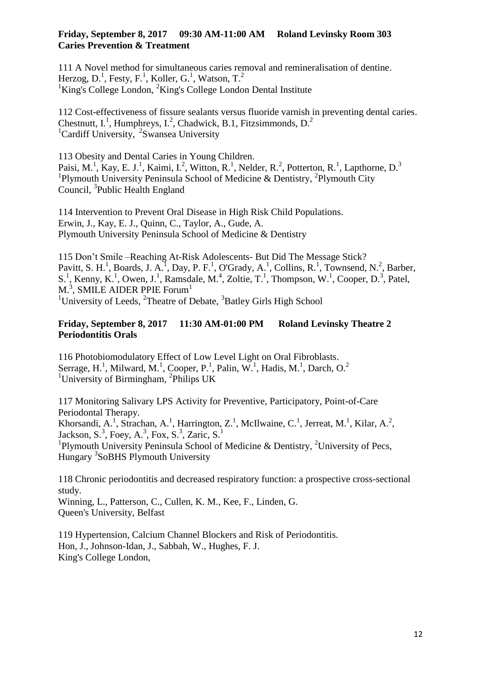### **Friday, September 8, 2017 09:30 AM-11:00 AM Roland Levinsky Room 303 Caries Prevention & Treatment**

111 A Novel method for simultaneous caries removal and remineralisation of dentine. Herzog, D.<sup>1</sup>, Festy, F.<sup>1</sup>, Koller, G.<sup>1</sup>, Watson, T.<sup>2</sup> <sup>1</sup>King's College London,  ${}^{2}$ King's College London Dental Institute

112 Cost-effectiveness of fissure sealants versus fluoride varnish in preventing dental caries. Chestnutt, I.<sup>1</sup>, Humphreys, I.<sup>2</sup>, Chadwick, B.1, Fitzsimmonds, D.<sup>2</sup> <sup>1</sup>Cardiff University, <sup>2</sup>Swansea University

113 Obesity and Dental Caries in Young Children. Paisi, M.<sup>1</sup>, Kay, E. J.<sup>1</sup>, Kaimi, I.<sup>2</sup>, Witton, R.<sup>1</sup>, Nelder, R.<sup>2</sup>, Potterton, R.<sup>1</sup>, Lapthorne, D.<sup>3</sup> <sup>1</sup>Plymouth University Peninsula School of Medicine & Dentistry, <sup>2</sup>Plymouth City Council, <sup>3</sup> Public Health England

114 Intervention to Prevent Oral Disease in High Risk Child Populations. Erwin, J., Kay, E. J., Quinn, C., Taylor, A., Gude, A. Plymouth University Peninsula School of Medicine & Dentistry

115 Don't Smile –Reaching At-Risk Adolescents- But Did The Message Stick? Pavitt, S. H.<sup>1</sup>, Boards, J. A.<sup>1</sup>, Day, P. F.<sup>1</sup>, O'Grady, A.<sup>1</sup>, Collins, R.<sup>1</sup>, Townsend, N.<sup>2</sup>, Barber, S.<sup>1</sup>, Kenny, K.<sup>1</sup>, Owen, J.<sup>1</sup>, Ramsdale, M.<sup>4</sup>, Zoltie, T.<sup>1</sup>, Thompson, W.<sup>1</sup>, Cooper, D.<sup>3</sup>, Patel, M.<sup>3</sup>, SMILE AIDER PPIE Forum<sup>1</sup> <sup>1</sup>University of Leeds,  ${}^{2}$ Theatre of Debate,  ${}^{3}$ Batley Girls High School

### **Friday, September 8, 2017 11:30 AM-01:00 PM Roland Levinsky Theatre 2 Periodontitis Orals**

116 Photobiomodulatory Effect of Low Level Light on Oral Fibroblasts. Serrage, H.<sup>1</sup>, Milward, M.<sup>1</sup>, Cooper, P.<sup>1</sup>, Palin, W.<sup>1</sup>, Hadis, M.<sup>1</sup>, Darch, O.<sup>2</sup> <sup>1</sup>University of Birmingham, <sup>2</sup>Philips UK

117 Monitoring Salivary LPS Activity for Preventive, Participatory, Point-of-Care Periodontal Therapy.

Khorsandi, A.<sup>1</sup>, Strachan, A.<sup>1</sup>, Harrington, Z.<sup>1</sup>, McIlwaine, C.<sup>1</sup>, Jerreat, M.<sup>1</sup>, Kilar, A.<sup>2</sup>, Jackson, S.<sup>3</sup>, Foey, A.<sup>3</sup>, Fox, S.<sup>3</sup>, Zaric, S.<sup>1</sup>

<sup>1</sup>Plymouth University Peninsula School of Medicine & Dentistry, <sup>2</sup>University of Pecs, Hungary <sup>3</sup>SoBHS Plymouth University

118 Chronic periodontitis and decreased respiratory function: a prospective cross-sectional study. Winning, L., Patterson, C., Cullen, K. M., Kee, F., Linden, G.

Queen's University, Belfast

119 Hypertension, Calcium Channel Blockers and Risk of Periodontitis. Hon, J., Johnson-Idan, J., Sabbah, W., Hughes, F. J. King's College London,